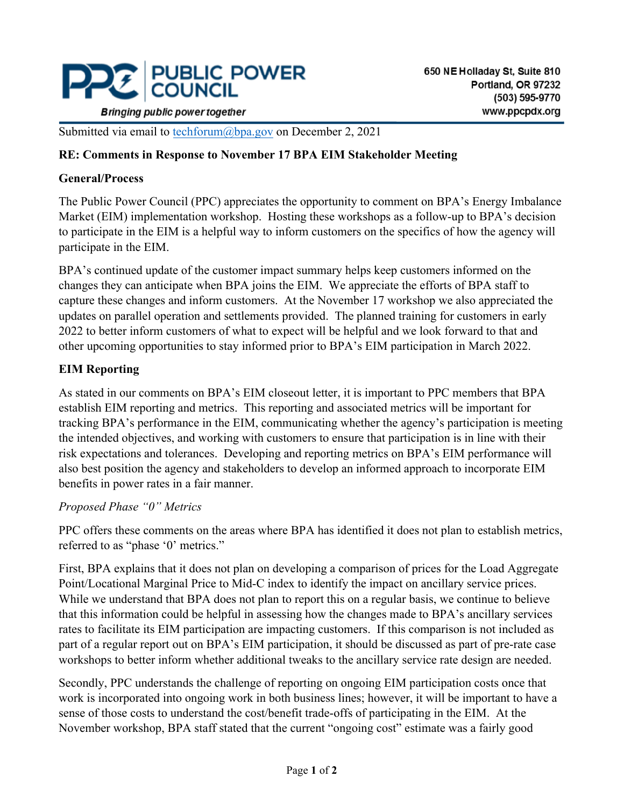

Submitted via email to [techforum@bpa.gov](mailto:techforum@bpa.gov) on December 2, 2021

### **RE: Comments in Response to November 17 BPA EIM Stakeholder Meeting**

#### **General/Process**

The Public Power Council (PPC) appreciates the opportunity to comment on BPA's Energy Imbalance Market (EIM) implementation workshop. Hosting these workshops as a follow-up to BPA's decision to participate in the EIM is a helpful way to inform customers on the specifics of how the agency will participate in the EIM.

BPA's continued update of the customer impact summary helps keep customers informed on the changes they can anticipate when BPA joins the EIM. We appreciate the efforts of BPA staff to capture these changes and inform customers. At the November 17 workshop we also appreciated the updates on parallel operation and settlements provided. The planned training for customers in early 2022 to better inform customers of what to expect will be helpful and we look forward to that and other upcoming opportunities to stay informed prior to BPA's EIM participation in March 2022.

## **EIM Reporting**

As stated in our comments on BPA's EIM closeout letter, it is important to PPC members that BPA establish EIM reporting and metrics. This reporting and associated metrics will be important for tracking BPA's performance in the EIM, communicating whether the agency's participation is meeting the intended objectives, and working with customers to ensure that participation is in line with their risk expectations and tolerances. Developing and reporting metrics on BPA's EIM performance will also best position the agency and stakeholders to develop an informed approach to incorporate EIM benefits in power rates in a fair manner.

#### *Proposed Phase "0" Metrics*

PPC offers these comments on the areas where BPA has identified it does not plan to establish metrics, referred to as "phase '0' metrics."

First, BPA explains that it does not plan on developing a comparison of prices for the Load Aggregate Point/Locational Marginal Price to Mid-C index to identify the impact on ancillary service prices. While we understand that BPA does not plan to report this on a regular basis, we continue to believe that this information could be helpful in assessing how the changes made to BPA's ancillary services rates to facilitate its EIM participation are impacting customers. If this comparison is not included as part of a regular report out on BPA's EIM participation, it should be discussed as part of pre-rate case workshops to better inform whether additional tweaks to the ancillary service rate design are needed.

Secondly, PPC understands the challenge of reporting on ongoing EIM participation costs once that work is incorporated into ongoing work in both business lines; however, it will be important to have a sense of those costs to understand the cost/benefit trade-offs of participating in the EIM. At the November workshop, BPA staff stated that the current "ongoing cost" estimate was a fairly good